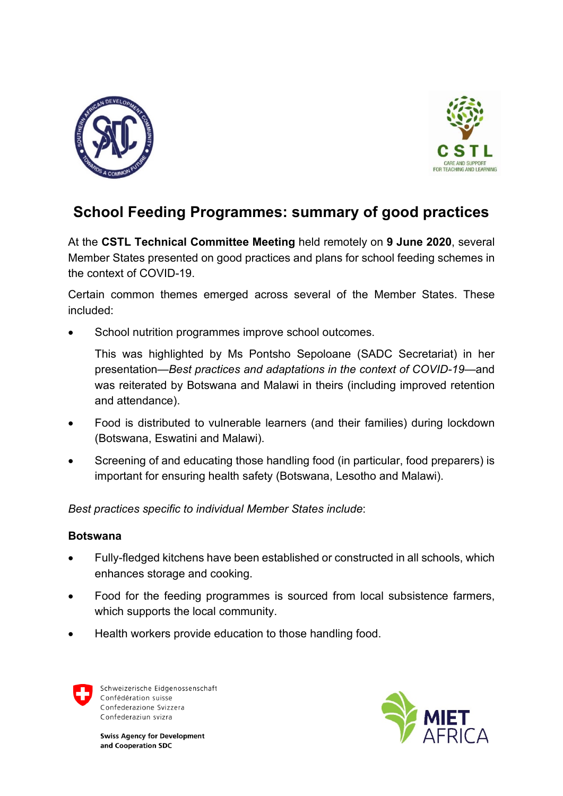



# **School Feeding Programmes: summary of good practices**

At the **CSTL Technical Committee Meeting** held remotely on **9 June 2020**, several Member States presented on good practices and plans for school feeding schemes in the context of COVID-19.

Certain common themes emerged across several of the Member States. These included:

School nutrition programmes improve school outcomes.

This was highlighted by Ms Pontsho Sepoloane (SADC Secretariat) in her presentation—*Best practices and adaptations in the context of COVID-19*—and was reiterated by Botswana and Malawi in theirs (including improved retention and attendance).

- Food is distributed to vulnerable learners (and their families) during lockdown (Botswana, Eswatini and Malawi).
- Screening of and educating those handling food (in particular, food preparers) is important for ensuring health safety (Botswana, Lesotho and Malawi).

*Best practices specific to individual Member States include*:

## **Botswana**

- Fully-fledged kitchens have been established or constructed in all schools, which enhances storage and cooking.
- Food for the feeding programmes is sourced from local subsistence farmers, which supports the local community.
- Health workers provide education to those handling food.



Schweizerische Eidgenossenschaft Confédération suisse Confederazione Svizzera Confederaziun svizra

**Swiss Agency for Development** and Cooperation SDC